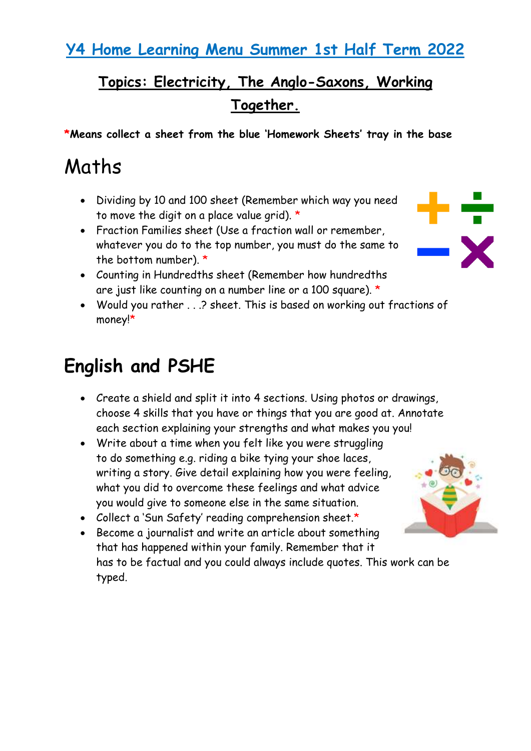#### **Y4 Home Learning Menu Summer 1st Half Term 2022**

### **Topics: Electricity, The Anglo-Saxons, Working Together.**

**\*Means collect a sheet from the blue 'Homework Sheets' tray in the base** 

# Maths

- Dividing by 10 and 100 sheet (Remember which way you need to move the digit on a place value grid).  $\star$
- Fraction Families sheet (Use a fraction wall or remember, whatever you do to the top number, you must do the same to the bottom number). \*



- Counting in Hundredths sheet (Remember how hundredths are just like counting on a number line or a 100 square). \*
- Would you rather . . .? sheet. This is based on working out fractions of money!\*

## **English and PSHE**

- Create a shield and split it into 4 sections. Using photos or drawings, choose 4 skills that you have or things that you are good at. Annotate each section explaining your strengths and what makes you you!
- Write about a time when you felt like you were struggling to do something e.g. riding a bike tying your shoe laces, writing a story. Give detail explaining how you were feeling, what you did to overcome these feelings and what advice you would give to someone else in the same situation.
- Collect a 'Sun Safety' reading comprehension sheet.\*
- Become a journalist and write an article about something that has happened within your family. Remember that it has to be factual and you could always include quotes. This work can be typed.